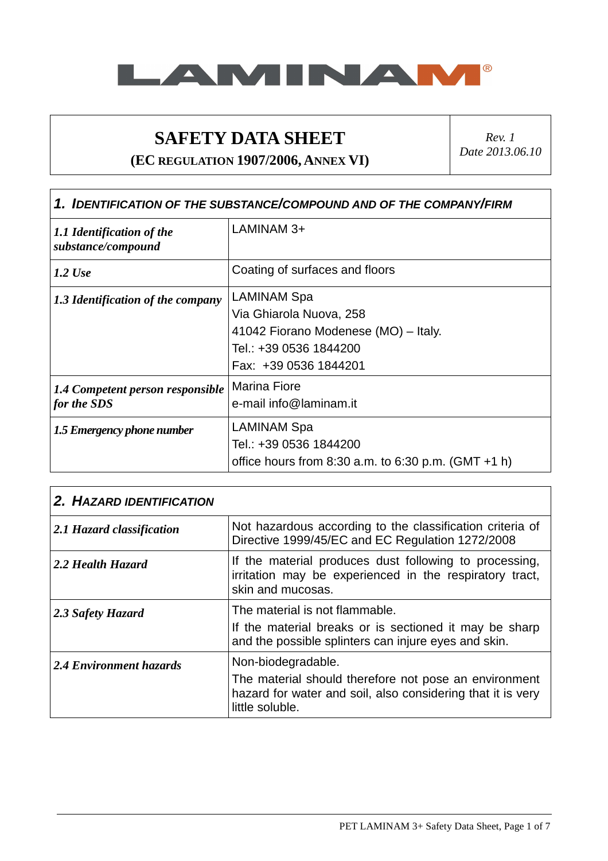

## **SAFETY DATA SHEET**

**(EC REGULATION 1907/2006, ANNEX VI)** 

*Rev. 1 Date 2013.06.10* 

| 1. IDENTIFICATION OF THE SUBSTANCE/COMPOUND AND OF THE COMPANY/FIRM |                                                                                                                                          |
|---------------------------------------------------------------------|------------------------------------------------------------------------------------------------------------------------------------------|
| 1.1 Identification of the<br>substance/compound                     | LAMINAM 3+                                                                                                                               |
| $1.2$ Use                                                           | Coating of surfaces and floors                                                                                                           |
| 1.3 Identification of the company                                   | <b>LAMINAM Spa</b><br>Via Ghiarola Nuova, 258<br>41042 Fiorano Modenese (MO) - Italy.<br>Tel.: +39 0536 1844200<br>Fax: +39 0536 1844201 |
| 1.4 Competent person responsible<br>for the SDS                     | <b>Marina Fiore</b><br>e-mail info@laminam.it                                                                                            |
| 1.5 Emergency phone number                                          | <b>LAMINAM Spa</b><br>Tel.: +39 0536 1844200<br>office hours from 8:30 a.m. to 6:30 p.m. (GMT $+1$ h)                                    |

| 2. HAZARD IDENTIFICATION  |                                                                                                                                                               |
|---------------------------|---------------------------------------------------------------------------------------------------------------------------------------------------------------|
| 2.1 Hazard classification | Not hazardous according to the classification criteria of<br>Directive 1999/45/EC and EC Regulation 1272/2008                                                 |
| 2.2 Health Hazard         | If the material produces dust following to processing,<br>irritation may be experienced in the respiratory tract,<br>skin and mucosas.                        |
| 2.3 Safety Hazard         | The material is not flammable.<br>If the material breaks or is sectioned it may be sharp<br>and the possible splinters can injure eyes and skin.              |
| 2.4 Environment hazards   | Non-biodegradable.<br>The material should therefore not pose an environment<br>hazard for water and soil, also considering that it is very<br>little soluble. |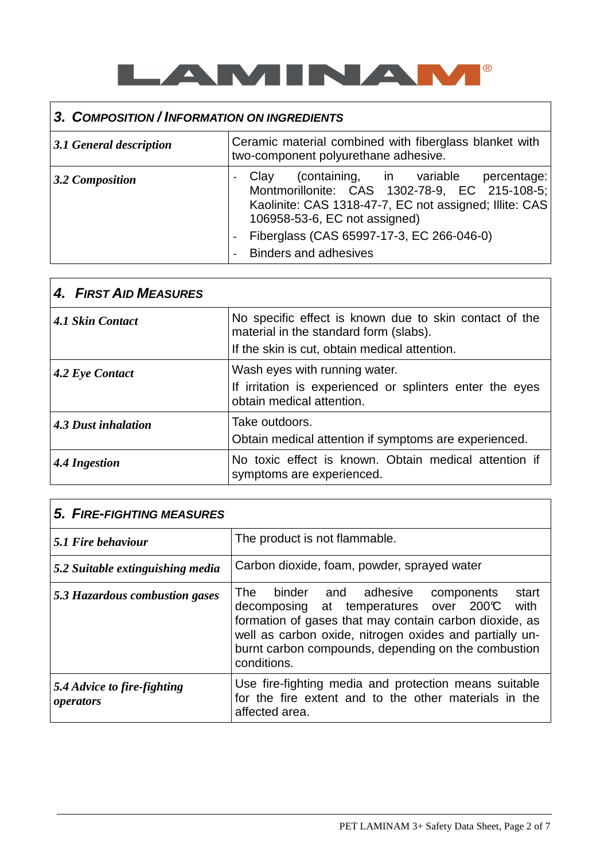

# **3. COMPOSITION / INFORMATION ON INGREDIENTS**

| 3.1 General description | Ceramic material combined with fiberglass blanket with<br>two-component polyurethane adhesive.                                                                                                                                                                           |
|-------------------------|--------------------------------------------------------------------------------------------------------------------------------------------------------------------------------------------------------------------------------------------------------------------------|
| 3.2 Composition         | (containing, in variable<br>percentage:<br>Clay<br>Montmorillonite: CAS 1302-78-9, EC 215-108-5;<br>Kaolinite: CAS 1318-47-7, EC not assigned; Illite: CAS<br>106958-53-6, EC not assigned)<br>Fiberglass (CAS 65997-17-3, EC 266-046-0)<br><b>Binders and adhesives</b> |

| 4. FIRST AID MEASURES |                                                                                                  |
|-----------------------|--------------------------------------------------------------------------------------------------|
| 4.1 Skin Contact      | No specific effect is known due to skin contact of the<br>material in the standard form (slabs). |
|                       | If the skin is cut, obtain medical attention.                                                    |
| 4.2 Eye Contact       | Wash eyes with running water.                                                                    |
|                       | If irritation is experienced or splinters enter the eyes<br>obtain medical attention.            |
| 4.3 Dust inhalation   | Take outdoors.                                                                                   |
|                       | Obtain medical attention if symptoms are experienced.                                            |
| 4.4 Ingestion         | No toxic effect is known. Obtain medical attention if<br>symptoms are experienced.               |

| 5. FIRE-FIGHTING MEASURES                |                                                                                                                                                                                                                                                                                                  |
|------------------------------------------|--------------------------------------------------------------------------------------------------------------------------------------------------------------------------------------------------------------------------------------------------------------------------------------------------|
| $\vert$ 5.1 Fire behaviour               | The product is not flammable.                                                                                                                                                                                                                                                                    |
| 5.2 Suitable extinguishing media         | Carbon dioxide, foam, powder, sprayed water                                                                                                                                                                                                                                                      |
| 5.3 Hazardous combustion gases           | The binder and adhesive components<br>start<br>decomposing at temperatures over $200\text{C}$<br>with<br>formation of gases that may contain carbon dioxide, as<br>well as carbon oxide, nitrogen oxides and partially un-<br>burnt carbon compounds, depending on the combustion<br>conditions. |
| 5.4 Advice to fire-fighting<br>operators | Use fire-fighting media and protection means suitable<br>for the fire extent and to the other materials in the<br>affected area.                                                                                                                                                                 |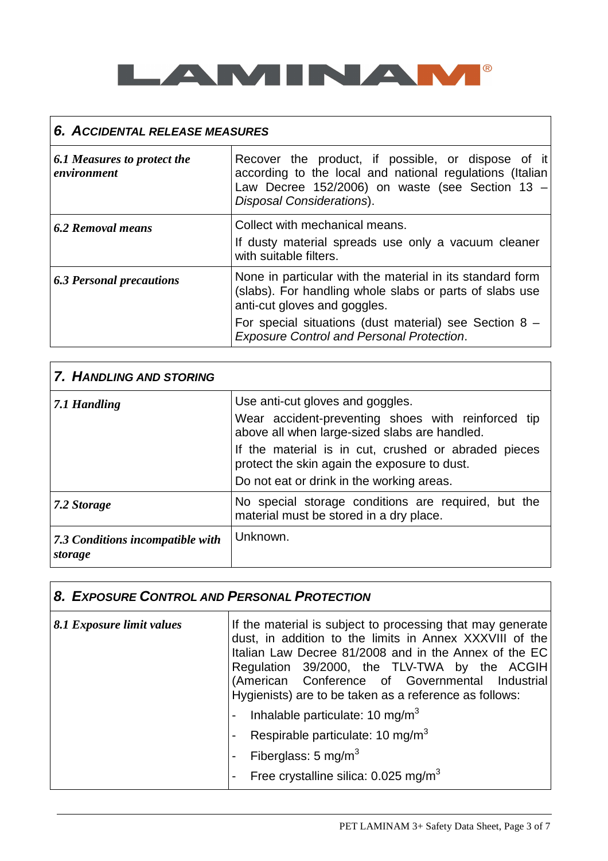

## **6. ACCIDENTAL RELEASE MEASURES**

| 6.1 Measures to protect the<br>environment | Recover the product, if possible, or dispose of it<br>according to the local and national regulations (Italian<br>Law Decree $152/2006$ ) on waste (see Section 13 -<br><b>Disposal Considerations).</b> |
|--------------------------------------------|----------------------------------------------------------------------------------------------------------------------------------------------------------------------------------------------------------|
| 6.2 Removal means                          | Collect with mechanical means.<br>If dusty material spreads use only a vacuum cleaner<br>with suitable filters.                                                                                          |
| <b>6.3 Personal precautions</b>            | None in particular with the material in its standard form<br>(slabs). For handling whole slabs or parts of slabs use<br>anti-cut gloves and goggles.                                                     |
|                                            | For special situations (dust material) see Section $8 -$<br><b>Exposure Control and Personal Protection.</b>                                                                                             |

| 7. HANDLING AND STORING                     |                                                                                                                                                   |
|---------------------------------------------|---------------------------------------------------------------------------------------------------------------------------------------------------|
| 7.1 Handling                                | Use anti-cut gloves and goggles.<br>Wear accident-preventing shoes with reinforced tip<br>above all when large-sized slabs are handled.           |
|                                             | If the material is in cut, crushed or abraded pieces<br>protect the skin again the exposure to dust.<br>Do not eat or drink in the working areas. |
| 7.2 Storage                                 | No special storage conditions are required, but the<br>material must be stored in a dry place.                                                    |
| 7.3 Conditions incompatible with<br>storage | Unknown.                                                                                                                                          |

### **8. EXPOSURE CONTROL AND PERSONAL PROTECTION**

| 8.1 Exposure limit values | If the material is subject to processing that may generate<br>dust, in addition to the limits in Annex XXXVIII of the<br>Italian Law Decree 81/2008 and in the Annex of the EC<br>Regulation 39/2000, the TLV-TWA by the ACGIH<br>(American Conference of Governmental Industrial<br>Hygienists) are to be taken as a reference as follows:<br>Inhalable particulate: 10 mg/m $3$ |
|---------------------------|-----------------------------------------------------------------------------------------------------------------------------------------------------------------------------------------------------------------------------------------------------------------------------------------------------------------------------------------------------------------------------------|
|                           | Respirable particulate: 10 mg/m $3$                                                                                                                                                                                                                                                                                                                                               |
|                           | Fiberglass: 5 mg/m $3$                                                                                                                                                                                                                                                                                                                                                            |
|                           | Free crystalline silica: $0.025$ mg/m <sup>3</sup><br>$\blacksquare$                                                                                                                                                                                                                                                                                                              |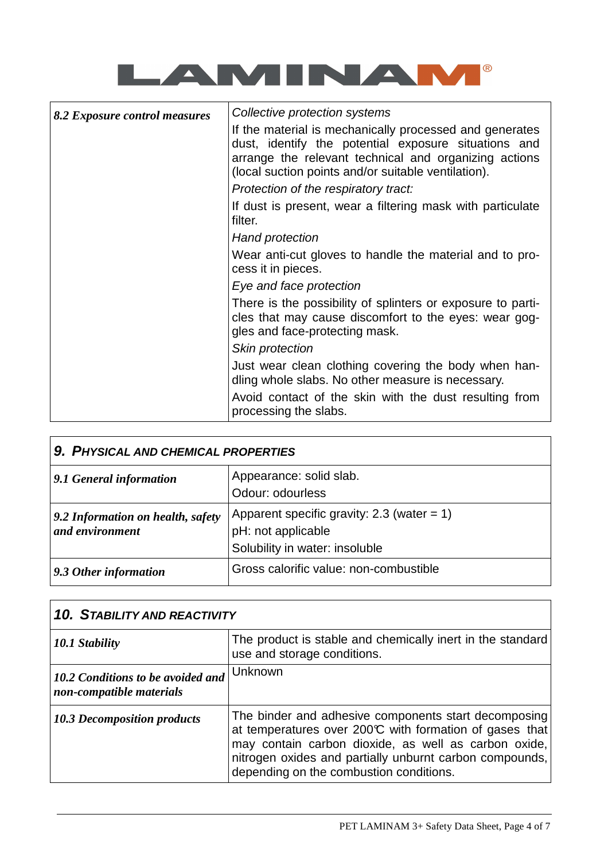

| 8.2 Exposure control measures | Collective protection systems                                                                                                                                                                                                                                           |
|-------------------------------|-------------------------------------------------------------------------------------------------------------------------------------------------------------------------------------------------------------------------------------------------------------------------|
|                               | If the material is mechanically processed and generates<br>dust, identify the potential exposure situations and<br>arrange the relevant technical and organizing actions<br>(local suction points and/or suitable ventilation).<br>Protection of the respiratory tract: |
|                               | If dust is present, wear a filtering mask with particulate<br>filter.                                                                                                                                                                                                   |
|                               | Hand protection                                                                                                                                                                                                                                                         |
|                               | Wear anti-cut gloves to handle the material and to pro-<br>cess it in pieces.                                                                                                                                                                                           |
|                               | Eye and face protection                                                                                                                                                                                                                                                 |
|                               | There is the possibility of splinters or exposure to parti-<br>cles that may cause discomfort to the eyes: wear gog-<br>gles and face-protecting mask.                                                                                                                  |
|                               | Skin protection                                                                                                                                                                                                                                                         |
|                               | Just wear clean clothing covering the body when han-<br>dling whole slabs. No other measure is necessary.                                                                                                                                                               |
|                               | Avoid contact of the skin with the dust resulting from<br>processing the slabs.                                                                                                                                                                                         |

| 9. PHYSICAL AND CHEMICAL PROPERTIES                  |                                                                                                       |
|------------------------------------------------------|-------------------------------------------------------------------------------------------------------|
| 9.1 General information                              | Appearance: solid slab.<br>Odour: odourless                                                           |
| 9.2 Information on health, safety<br>and environment | Apparent specific gravity: 2.3 (water $= 1$ )<br>pH: not applicable<br>Solubility in water: insoluble |
| 9.3 Other information                                | Gross calorific value: non-combustible                                                                |

 $\Gamma$ 

| <b>10. STABILITY AND REACTIVITY</b>                           |                                                                                                                                                                                                                                                                               |
|---------------------------------------------------------------|-------------------------------------------------------------------------------------------------------------------------------------------------------------------------------------------------------------------------------------------------------------------------------|
| 10.1 Stability                                                | The product is stable and chemically inert in the standard<br>use and storage conditions.                                                                                                                                                                                     |
| 10.2 Conditions to be avoided and<br>non-compatible materials | Unknown                                                                                                                                                                                                                                                                       |
| <b>10.3 Decomposition products</b>                            | The binder and adhesive components start decomposing<br>at temperatures over 200°C with formation of gases that<br>may contain carbon dioxide, as well as carbon oxide,<br>nitrogen oxides and partially unburnt carbon compounds,<br>depending on the combustion conditions. |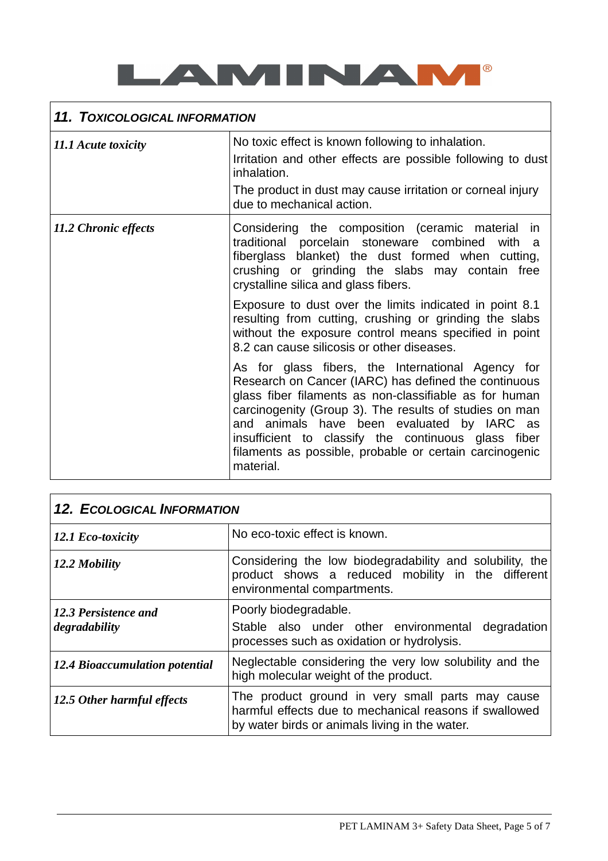

# **11. TOXICOLOGICAL INFORMATION**

| 11.1 Acute toxicity  | No toxic effect is known following to inhalation.                                                                                                                                                                                                                                                                                                                                                          |
|----------------------|------------------------------------------------------------------------------------------------------------------------------------------------------------------------------------------------------------------------------------------------------------------------------------------------------------------------------------------------------------------------------------------------------------|
|                      | Irritation and other effects are possible following to dust<br>inhalation.                                                                                                                                                                                                                                                                                                                                 |
|                      | The product in dust may cause irritation or corneal injury<br>due to mechanical action.                                                                                                                                                                                                                                                                                                                    |
| 11.2 Chronic effects | Considering the composition (ceramic material in<br>traditional porcelain stoneware combined with a<br>fiberglass blanket) the dust formed when cutting,<br>crushing or grinding the slabs may contain free<br>crystalline silica and glass fibers.                                                                                                                                                        |
|                      | Exposure to dust over the limits indicated in point 8.1<br>resulting from cutting, crushing or grinding the slabs<br>without the exposure control means specified in point<br>8.2 can cause silicosis or other diseases.                                                                                                                                                                                   |
|                      | As for glass fibers, the International Agency for<br>Research on Cancer (IARC) has defined the continuous<br>glass fiber filaments as non-classifiable as for human<br>carcinogenity (Group 3). The results of studies on man<br>and animals have been evaluated by IARC as<br>insufficient to classify the continuous glass fiber<br>filaments as possible, probable or certain carcinogenic<br>material. |

| <b>12. ECOLOGICAL INFORMATION</b>     |                                                                                                                                                              |
|---------------------------------------|--------------------------------------------------------------------------------------------------------------------------------------------------------------|
| 12.1 Eco-toxicity                     | No eco-toxic effect is known.                                                                                                                                |
| 12.2 Mobility                         | Considering the low biodegradability and solubility, the<br>product shows a reduced mobility in the different<br>environmental compartments.                 |
| 12.3 Persistence and<br>degradability | Poorly biodegradable.<br>Stable also under other environmental degradation<br>processes such as oxidation or hydrolysis.                                     |
| 12.4 Bioaccumulation potential        | Neglectable considering the very low solubility and the<br>high molecular weight of the product.                                                             |
| 12.5 Other harmful effects            | The product ground in very small parts may cause<br>harmful effects due to mechanical reasons if swallowed<br>by water birds or animals living in the water. |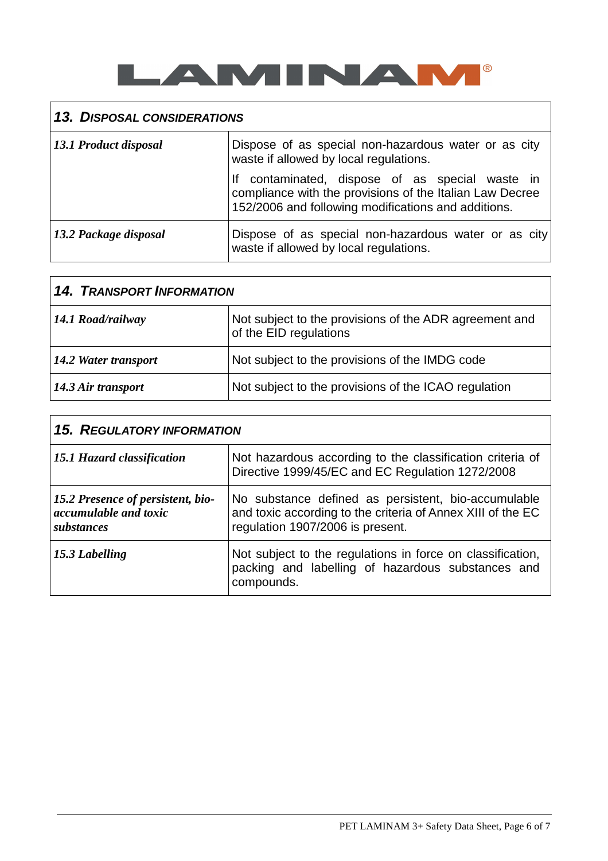

## **13. DISPOSAL CONSIDERATIONS**

| 13.1 Product disposal | Dispose of as special non-hazardous water or as city<br>waste if allowed by local regulations.                                                                  |
|-----------------------|-----------------------------------------------------------------------------------------------------------------------------------------------------------------|
|                       | contaminated, dispose of as special waste in<br>compliance with the provisions of the Italian Law Decree<br>152/2006 and following modifications and additions. |
| 13.2 Package disposal | Dispose of as special non-hazardous water or as city<br>waste if allowed by local regulations.                                                                  |

| <b>14. TRANSPORT INFORMATION</b> |                                                                                  |
|----------------------------------|----------------------------------------------------------------------------------|
| 14.1 Road/railway                | Not subject to the provisions of the ADR agreement and<br>of the EID regulations |
| 14.2 Water transport             | Not subject to the provisions of the IMDG code                                   |
| 14.3 Air transport               | Not subject to the provisions of the ICAO regulation                             |

| <b>15. REGULATORY INFORMATION</b>                                               |                                                                                                                                                        |  |
|---------------------------------------------------------------------------------|--------------------------------------------------------------------------------------------------------------------------------------------------------|--|
| 15.1 Hazard classification                                                      | Not hazardous according to the classification criteria of<br>Directive 1999/45/EC and EC Regulation 1272/2008                                          |  |
| 15.2 Presence of persistent, bio-<br><i>accumulable and toxic</i><br>substances | No substance defined as persistent, bio-accumulable<br>and toxic according to the criteria of Annex XIII of the EC<br>regulation 1907/2006 is present. |  |
| 15.3 Labelling                                                                  | Not subject to the regulations in force on classification,<br>packing and labelling of hazardous substances and<br>compounds.                          |  |